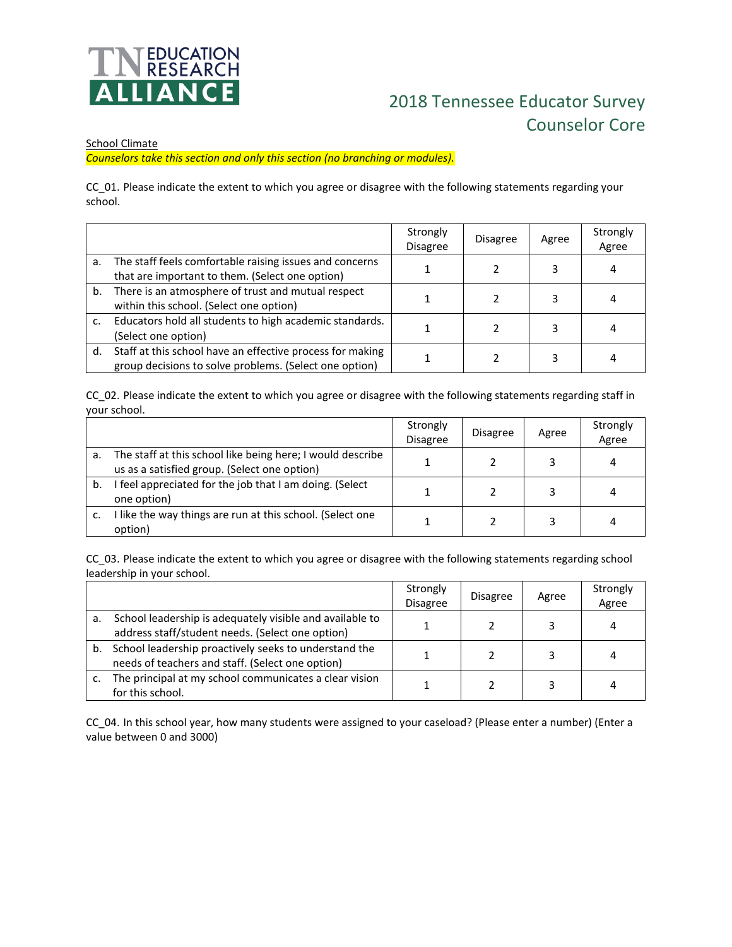

## 2018 Tennessee Educator Survey Counselor Core

## School Climate

*Counselors take this section and only this section (no branching or modules).*

CC\_01. Please indicate the extent to which you agree or disagree with the following statements regarding your school.

|    |                                                                                                                     | Strongly<br><b>Disagree</b> | <b>Disagree</b> | Agree | Strongly<br>Agree |
|----|---------------------------------------------------------------------------------------------------------------------|-----------------------------|-----------------|-------|-------------------|
| a. | The staff feels comfortable raising issues and concerns<br>that are important to them. (Select one option)          |                             |                 | 3     |                   |
| b. | There is an atmosphere of trust and mutual respect<br>within this school. (Select one option)                       |                             |                 | 3     |                   |
| c. | Educators hold all students to high academic standards.<br>(Select one option)                                      |                             |                 | 3     |                   |
| d. | Staff at this school have an effective process for making<br>group decisions to solve problems. (Select one option) |                             |                 | 3     |                   |

CC\_02. Please indicate the extent to which you agree or disagree with the following statements regarding staff in your school.

|    |                                                                                                            | Strongly<br><b>Disagree</b> | <b>Disagree</b> | Agree | Strongly<br>Agree |
|----|------------------------------------------------------------------------------------------------------------|-----------------------------|-----------------|-------|-------------------|
| a. | The staff at this school like being here; I would describe<br>us as a satisfied group. (Select one option) |                             |                 |       | 4                 |
| b. | feel appreciated for the job that I am doing. (Select<br>one option)                                       |                             |                 |       | 4                 |
|    | I like the way things are run at this school. (Select one<br>option)                                       |                             |                 |       |                   |

CC\_03. Please indicate the extent to which you agree or disagree with the following statements regarding school leadership in your school.

|    |                                                                                                              | Strongly<br><b>Disagree</b> | <b>Disagree</b> | Agree | Strongly<br>Agree |
|----|--------------------------------------------------------------------------------------------------------------|-----------------------------|-----------------|-------|-------------------|
| a. | School leadership is adequately visible and available to<br>address staff/student needs. (Select one option) |                             |                 |       |                   |
| b. | School leadership proactively seeks to understand the<br>needs of teachers and staff. (Select one option)    |                             |                 |       |                   |
|    | The principal at my school communicates a clear vision<br>for this school.                                   |                             |                 |       |                   |

CC\_04. In this school year, how many students were assigned to your caseload? (Please enter a number) (Enter a value between 0 and 3000)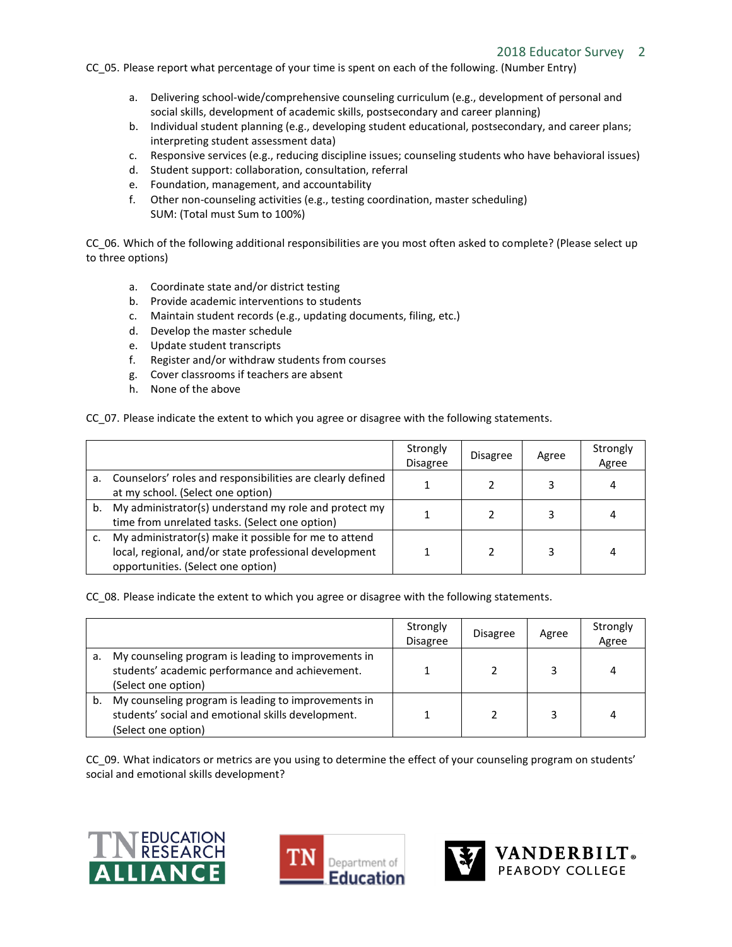CC\_05. Please report what percentage of your time is spent on each of the following. (Number Entry)

- a. Delivering school-wide/comprehensive counseling curriculum (e.g., development of personal and social skills, development of academic skills, postsecondary and career planning)
- b. Individual student planning (e.g., developing student educational, postsecondary, and career plans; interpreting student assessment data)
- c. Responsive services (e.g., reducing discipline issues; counseling students who have behavioral issues)
- d. Student support: collaboration, consultation, referral
- e. Foundation, management, and accountability
- f. Other non-counseling activities (e.g., testing coordination, master scheduling) SUM: (Total must Sum to 100%)

CC\_06. Which of the following additional responsibilities are you most often asked to complete? (Please select up to three options)

- a. Coordinate state and/or district testing
- b. Provide academic interventions to students
- c. Maintain student records (e.g., updating documents, filing, etc.)
- d. Develop the master schedule
- e. Update student transcripts
- f. Register and/or withdraw students from courses
- g. Cover classrooms if teachers are absent
- h. None of the above

CC\_07. Please indicate the extent to which you agree or disagree with the following statements.

|    |                                                                                                                                                       | Strongly<br><b>Disagree</b> | <b>Disagree</b> | Agree | Strongly<br>Agree |
|----|-------------------------------------------------------------------------------------------------------------------------------------------------------|-----------------------------|-----------------|-------|-------------------|
| а. | Counselors' roles and responsibilities are clearly defined<br>at my school. (Select one option)                                                       |                             |                 |       |                   |
| b. | My administrator(s) understand my role and protect my<br>time from unrelated tasks. (Select one option)                                               |                             |                 |       |                   |
|    | My administrator(s) make it possible for me to attend<br>local, regional, and/or state professional development<br>opportunities. (Select one option) |                             |                 |       | 4                 |

CC\_08. Please indicate the extent to which you agree or disagree with the following statements.

|    |                                                                                                                                  | Strongly<br><b>Disagree</b> | <b>Disagree</b> | Agree | Strongly<br>Agree |
|----|----------------------------------------------------------------------------------------------------------------------------------|-----------------------------|-----------------|-------|-------------------|
| a. | My counseling program is leading to improvements in<br>students' academic performance and achievement.<br>(Select one option)    |                             |                 |       | 4                 |
| b. | My counseling program is leading to improvements in<br>students' social and emotional skills development.<br>(Select one option) |                             |                 |       | 4                 |

CC\_09. What indicators or metrics are you using to determine the effect of your counseling program on students' social and emotional skills development?





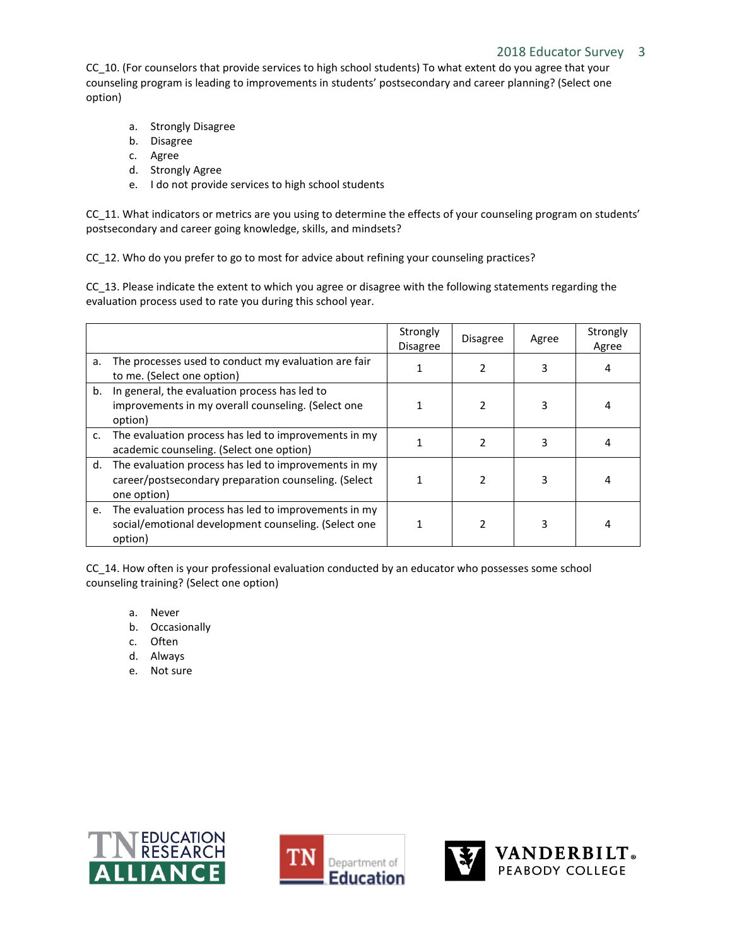CC\_10. (For counselors that provide services to high school students) To what extent do you agree that your counseling program is leading to improvements in students' postsecondary and career planning? (Select one option)

- a. Strongly Disagree
- b. Disagree
- c. Agree
- d. Strongly Agree
- e. I do not provide services to high school students

CC\_11. What indicators or metrics are you using to determine the effects of your counseling program on students' postsecondary and career going knowledge, skills, and mindsets?

CC\_12. Who do you prefer to go to most for advice about refining your counseling practices?

CC\_13. Please indicate the extent to which you agree or disagree with the following statements regarding the evaluation process used to rate you during this school year.

|    |                                                                                                                                | Strongly<br><b>Disagree</b> | <b>Disagree</b> | Agree | Strongly<br>Agree |
|----|--------------------------------------------------------------------------------------------------------------------------------|-----------------------------|-----------------|-------|-------------------|
| a. | The processes used to conduct my evaluation are fair<br>to me. (Select one option)                                             |                             |                 |       |                   |
| b. | In general, the evaluation process has led to<br>improvements in my overall counseling. (Select one<br>option)                 |                             |                 | 3     |                   |
| c. | The evaluation process has led to improvements in my<br>academic counseling. (Select one option)                               |                             |                 | 3     |                   |
|    | d. The evaluation process has led to improvements in my<br>career/postsecondary preparation counseling. (Select<br>one option) |                             | 2               | 3     |                   |
| e. | The evaluation process has led to improvements in my<br>social/emotional development counseling. (Select one<br>option)        |                             |                 |       |                   |

CC\_14. How often is your professional evaluation conducted by an educator who possesses some school counseling training? (Select one option)

- a. Never
- b. Occasionally
- c. Often
- d. Always
- e. Not sure





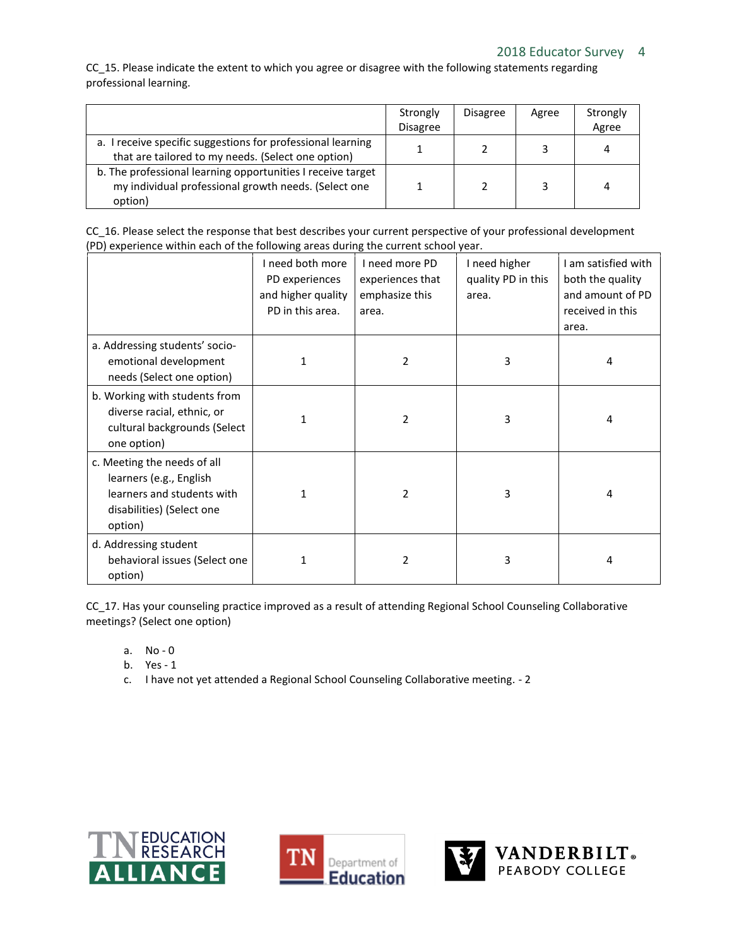CC\_15. Please indicate the extent to which you agree or disagree with the following statements regarding professional learning.

|                                                                                                                                | Strongly        | <b>Disagree</b> | Agree | Strongly |
|--------------------------------------------------------------------------------------------------------------------------------|-----------------|-----------------|-------|----------|
|                                                                                                                                | <b>Disagree</b> |                 |       | Agree    |
| a. I receive specific suggestions for professional learning<br>that are tailored to my needs. (Select one option)              |                 |                 |       | 4        |
| b. The professional learning opportunities I receive target<br>my individual professional growth needs. (Select one<br>option) |                 |                 |       | 4        |

| CC 16. Please select the response that best describes your current perspective of your professional development |  |
|-----------------------------------------------------------------------------------------------------------------|--|
| (PD) experience within each of the following areas during the current school year.                              |  |

|                                                                                                                              | I need both more<br>PD experiences<br>and higher quality<br>PD in this area. | I need more PD<br>experiences that<br>emphasize this<br>area. | I need higher<br>quality PD in this<br>area. | I am satisfied with<br>both the quality<br>and amount of PD<br>received in this<br>area. |
|------------------------------------------------------------------------------------------------------------------------------|------------------------------------------------------------------------------|---------------------------------------------------------------|----------------------------------------------|------------------------------------------------------------------------------------------|
| a. Addressing students' socio-<br>emotional development<br>needs (Select one option)                                         | 1                                                                            | $\mathfrak z$                                                 | 3                                            | 4                                                                                        |
| b. Working with students from<br>diverse racial, ethnic, or<br>cultural backgrounds (Select<br>one option)                   | 1                                                                            | 2                                                             | 3                                            | 4                                                                                        |
| c. Meeting the needs of all<br>learners (e.g., English<br>learners and students with<br>disabilities) (Select one<br>option) | $\mathbf{1}$                                                                 | 2                                                             | 3                                            | 4                                                                                        |
| d. Addressing student<br>behavioral issues (Select one<br>option)                                                            | 1                                                                            | 2                                                             | 3                                            | 4                                                                                        |

CC\_17. Has your counseling practice improved as a result of attending Regional School Counseling Collaborative meetings? (Select one option)

- a. No 0
- b. Yes 1
- c. I have not yet attended a Regional School Counseling Collaborative meeting. 2